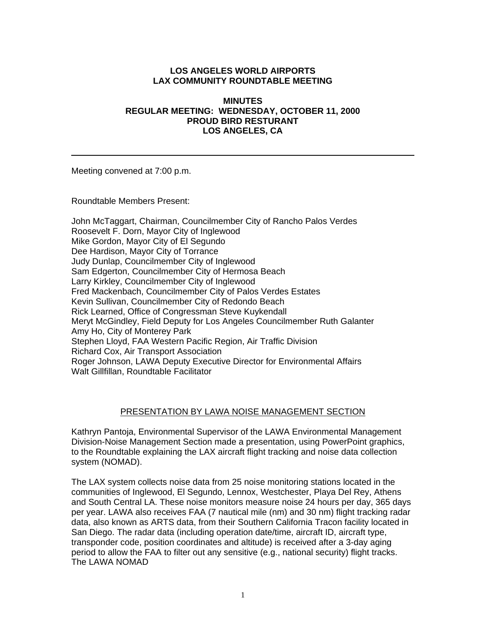## **LOS ANGELES WORLD AIRPORTS LAX COMMUNITY ROUNDTABLE MEETING**

#### **MINUTES REGULAR MEETING: WEDNESDAY, OCTOBER 11, 2000 PROUD BIRD RESTURANT LOS ANGELES, CA**

Meeting convened at 7:00 p.m.

Roundtable Members Present:

John McTaggart, Chairman, Councilmember City of Rancho Palos Verdes Roosevelt F. Dorn, Mayor City of Inglewood Mike Gordon, Mayor City of El Segundo Dee Hardison, Mayor City of Torrance Judy Dunlap, Councilmember City of Inglewood Sam Edgerton, Councilmember City of Hermosa Beach Larry Kirkley, Councilmember City of Inglewood Fred Mackenbach, Councilmember City of Palos Verdes Estates Kevin Sullivan, Councilmember City of Redondo Beach Rick Learned, Office of Congressman Steve Kuykendall Meryt McGindley, Field Deputy for Los Angeles Councilmember Ruth Galanter Amy Ho, City of Monterey Park Stephen Lloyd, FAA Western Pacific Region, Air Traffic Division Richard Cox, Air Transport Association Roger Johnson, LAWA Deputy Executive Director for Environmental Affairs Walt Gillfillan, Roundtable Facilitator

## PRESENTATION BY LAWA NOISE MANAGEMENT SECTION

Kathryn Pantoja, Environmental Supervisor of the LAWA Environmental Management Division-Noise Management Section made a presentation, using PowerPoint graphics, to the Roundtable explaining the LAX aircraft flight tracking and noise data collection system (NOMAD).

The LAX system collects noise data from 25 noise monitoring stations located in the communities of Inglewood, El Segundo, Lennox, Westchester, Playa Del Rey, Athens and South Central LA. These noise monitors measure noise 24 hours per day, 365 days per year. LAWA also receives FAA (7 nautical mile (nm) and 30 nm) flight tracking radar data, also known as ARTS data, from their Southern California Tracon facility located in San Diego. The radar data (including operation date/time, aircraft ID, aircraft type, transponder code, position coordinates and altitude) is received after a 3-day aging period to allow the FAA to filter out any sensitive (e.g., national security) flight tracks. The LAWA NOMAD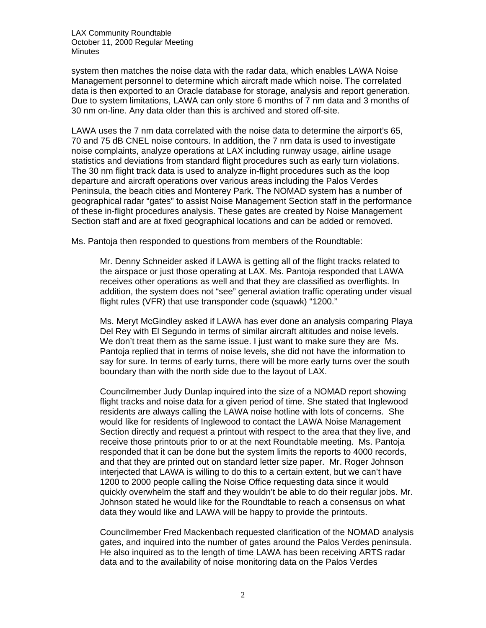LAX Community Roundtable October 11, 2000 Regular Meeting **Minutes** 

system then matches the noise data with the radar data, which enables LAWA Noise Management personnel to determine which aircraft made which noise. The correlated data is then exported to an Oracle database for storage, analysis and report generation. Due to system limitations, LAWA can only store 6 months of 7 nm data and 3 months of 30 nm on-line. Any data older than this is archived and stored off-site.

LAWA uses the 7 nm data correlated with the noise data to determine the airport's 65, 70 and 75 dB CNEL noise contours. In addition, the 7 nm data is used to investigate noise complaints, analyze operations at LAX including runway usage, airline usage statistics and deviations from standard flight procedures such as early turn violations. The 30 nm flight track data is used to analyze in-flight procedures such as the loop departure and aircraft operations over various areas including the Palos Verdes Peninsula, the beach cities and Monterey Park. The NOMAD system has a number of geographical radar "gates" to assist Noise Management Section staff in the performance of these in-flight procedures analysis. These gates are created by Noise Management Section staff and are at fixed geographical locations and can be added or removed.

Ms. Pantoja then responded to questions from members of the Roundtable:

Mr. Denny Schneider asked if LAWA is getting all of the flight tracks related to the airspace or just those operating at LAX. Ms. Pantoja responded that LAWA receives other operations as well and that they are classified as overflights. In addition, the system does not "see" general aviation traffic operating under visual flight rules (VFR) that use transponder code (squawk) "1200."

Ms. Meryt McGindley asked if LAWA has ever done an analysis comparing Playa Del Rey with El Segundo in terms of similar aircraft altitudes and noise levels. We don't treat them as the same issue. I just want to make sure they are Ms. Pantoja replied that in terms of noise levels, she did not have the information to say for sure. In terms of early turns, there will be more early turns over the south boundary than with the north side due to the layout of LAX.

Councilmember Judy Dunlap inquired into the size of a NOMAD report showing flight tracks and noise data for a given period of time. She stated that Inglewood residents are always calling the LAWA noise hotline with lots of concerns. She would like for residents of Inglewood to contact the LAWA Noise Management Section directly and request a printout with respect to the area that they live, and receive those printouts prior to or at the next Roundtable meeting. Ms. Pantoja responded that it can be done but the system limits the reports to 4000 records, and that they are printed out on standard letter size paper. Mr. Roger Johnson interjected that LAWA is willing to do this to a certain extent, but we can't have 1200 to 2000 people calling the Noise Office requesting data since it would quickly overwhelm the staff and they wouldn't be able to do their regular jobs. Mr. Johnson stated he would like for the Roundtable to reach a consensus on what data they would like and LAWA will be happy to provide the printouts.

Councilmember Fred Mackenbach requested clarification of the NOMAD analysis gates, and inquired into the number of gates around the Palos Verdes peninsula. He also inquired as to the length of time LAWA has been receiving ARTS radar data and to the availability of noise monitoring data on the Palos Verdes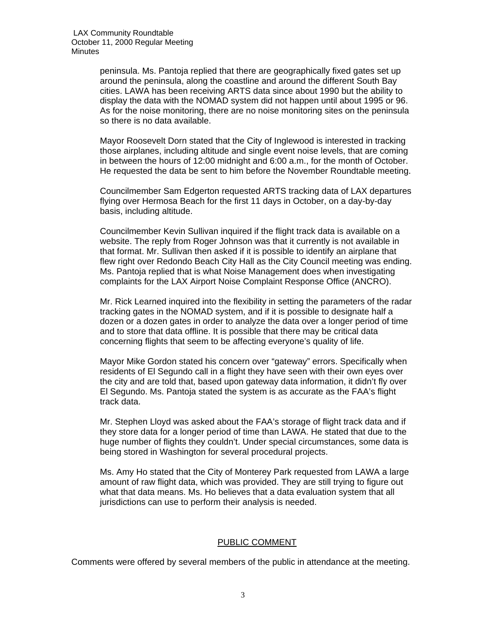peninsula. Ms. Pantoja replied that there are geographically fixed gates set up around the peninsula, along the coastline and around the different South Bay cities. LAWA has been receiving ARTS data since about 1990 but the ability to display the data with the NOMAD system did not happen until about 1995 or 96. As for the noise monitoring, there are no noise monitoring sites on the peninsula so there is no data available.

Mayor Roosevelt Dorn stated that the City of Inglewood is interested in tracking those airplanes, including altitude and single event noise levels, that are coming in between the hours of 12:00 midnight and 6:00 a.m., for the month of October. He requested the data be sent to him before the November Roundtable meeting.

Councilmember Sam Edgerton requested ARTS tracking data of LAX departures flying over Hermosa Beach for the first 11 days in October, on a day-by-day basis, including altitude.

Councilmember Kevin Sullivan inquired if the flight track data is available on a website. The reply from Roger Johnson was that it currently is not available in that format. Mr. Sullivan then asked if it is possible to identify an airplane that flew right over Redondo Beach City Hall as the City Council meeting was ending. Ms. Pantoja replied that is what Noise Management does when investigating complaints for the LAX Airport Noise Complaint Response Office (ANCRO).

Mr. Rick Learned inquired into the flexibility in setting the parameters of the radar tracking gates in the NOMAD system, and if it is possible to designate half a dozen or a dozen gates in order to analyze the data over a longer period of time and to store that data offline. It is possible that there may be critical data concerning flights that seem to be affecting everyone's quality of life.

Mayor Mike Gordon stated his concern over "gateway" errors. Specifically when residents of El Segundo call in a flight they have seen with their own eyes over the city and are told that, based upon gateway data information, it didn't fly over El Segundo. Ms. Pantoja stated the system is as accurate as the FAA's flight track data.

Mr. Stephen Lloyd was asked about the FAA's storage of flight track data and if they store data for a longer period of time than LAWA. He stated that due to the huge number of flights they couldn't. Under special circumstances, some data is being stored in Washington for several procedural projects.

Ms. Amy Ho stated that the City of Monterey Park requested from LAWA a large amount of raw flight data, which was provided. They are still trying to figure out what that data means. Ms. Ho believes that a data evaluation system that all jurisdictions can use to perform their analysis is needed.

## PUBLIC COMMENT

Comments were offered by several members of the public in attendance at the meeting.